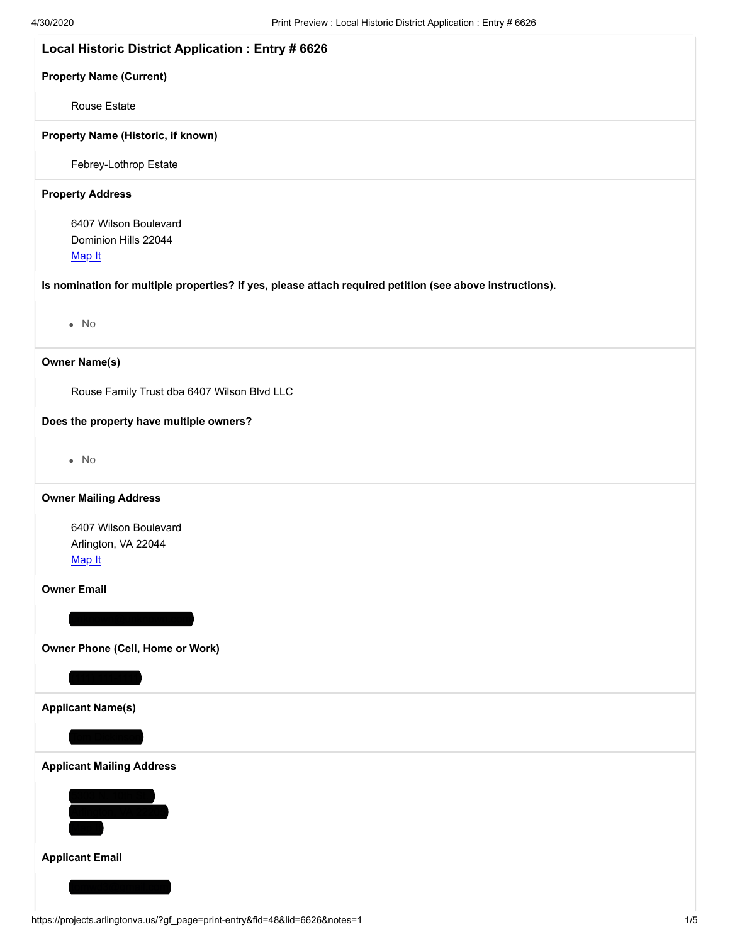| Local Historic District Application : Entry # 6626                                                       |
|----------------------------------------------------------------------------------------------------------|
| <b>Property Name (Current)</b>                                                                           |
| <b>Rouse Estate</b>                                                                                      |
| Property Name (Historic, if known)                                                                       |
| Febrey-Lothrop Estate                                                                                    |
| <b>Property Address</b>                                                                                  |
| 6407 Wilson Boulevard<br>Dominion Hills 22044<br>Map It                                                  |
| Is nomination for multiple properties? If yes, please attach required petition (see above instructions). |
| $\bullet$ No                                                                                             |
| <b>Owner Name(s)</b>                                                                                     |
| Rouse Family Trust dba 6407 Wilson Blvd LLC                                                              |
| Does the property have multiple owners?                                                                  |
| $\bullet$ No                                                                                             |
| <b>Owner Mailing Address</b>                                                                             |
| 6407 Wilson Boulevard<br>Arlington, VA 22044<br>Map It                                                   |
| <b>Owner Email</b>                                                                                       |
|                                                                                                          |
| Owner Phone (Cell, Home or Work)                                                                         |
|                                                                                                          |
| <b>Applicant Name(s)</b>                                                                                 |
|                                                                                                          |
| <b>Applicant Mailing Address</b>                                                                         |
| <u>.03 w. rum a</u><br>Ili <u>naton. VA 2</u>                                                            |
|                                                                                                          |
| <b>Applicant Email</b>                                                                                   |
|                                                                                                          |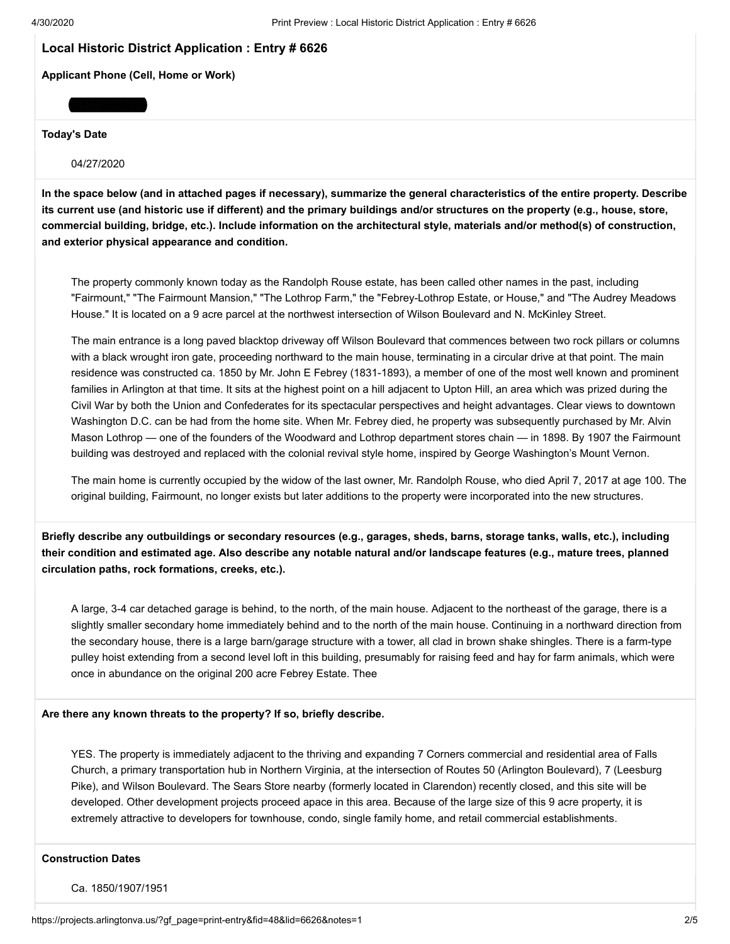# **Local Historic District Application : Entry # 6626**

**Applicant Phone (Cell, Home or Work)**

#### **Today's Date**

04/27/2020

(571) 969-8287

**In the space below (and in attached pages if necessary), summarize the general characteristics of the entire property. Describe its current use (and historic use if different) and the primary buildings and/or structures on the property (e.g., house, store, commercial building, bridge, etc.). Include information on the architectural style, materials and/or method(s) of construction, and exterior physical appearance and condition.**

The property commonly known today as the Randolph Rouse estate, has been called other names in the past, including "Fairmount," "The Fairmount Mansion," "The Lothrop Farm," the "Febrey-Lothrop Estate, or House," and "The Audrey Meadows House." It is located on a 9 acre parcel at the northwest intersection of Wilson Boulevard and N. McKinley Street.

The main entrance is a long paved blacktop driveway off Wilson Boulevard that commences between two rock pillars or columns with a black wrought iron gate, proceeding northward to the main house, terminating in a circular drive at that point. The main residence was constructed ca. 1850 by Mr. John E Febrey (1831-1893), a member of one of the most well known and prominent families in Arlington at that time. It sits at the highest point on a hill adjacent to Upton Hill, an area which was prized during the Civil War by both the Union and Confederates for its spectacular perspectives and height advantages. Clear views to downtown Washington D.C. can be had from the home site. When Mr. Febrey died, he property was subsequently purchased by Mr. Alvin Mason Lothrop — one of the founders of the Woodward and Lothrop department stores chain — in 1898. By 1907 the Fairmount building was destroyed and replaced with the colonial revival style home, inspired by George Washington's Mount Vernon.

The main home is currently occupied by the widow of the last owner, Mr. Randolph Rouse, who died April 7, 2017 at age 100. The original building, Fairmount, no longer exists but later additions to the property were incorporated into the new structures.

**Briefly describe any outbuildings or secondary resources (e.g., garages, sheds, barns, storage tanks, walls, etc.), including their condition and estimated age. Also describe any notable natural and/or landscape features (e.g., mature trees, planned circulation paths, rock formations, creeks, etc.).**

A large, 3-4 car detached garage is behind, to the north, of the main house. Adjacent to the northeast of the garage, there is a slightly smaller secondary home immediately behind and to the north of the main house. Continuing in a northward direction from the secondary house, there is a large barn/garage structure with a tower, all clad in brown shake shingles. There is a farm-type pulley hoist extending from a second level loft in this building, presumably for raising feed and hay for farm animals, which were once in abundance on the original 200 acre Febrey Estate. Thee

**Are there any known threats to the property? If so, briefly describe.**

YES. The property is immediately adjacent to the thriving and expanding 7 Corners commercial and residential area of Falls Church, a primary transportation hub in Northern Virginia, at the intersection of Routes 50 (Arlington Boulevard), 7 (Leesburg Pike), and Wilson Boulevard. The Sears Store nearby (formerly located in Clarendon) recently closed, and this site will be developed. Other development projects proceed apace in this area. Because of the large size of this 9 acre property, it is extremely attractive to developers for townhouse, condo, single family home, and retail commercial establishments.

### **Construction Dates**

Ca. 1850/1907/1951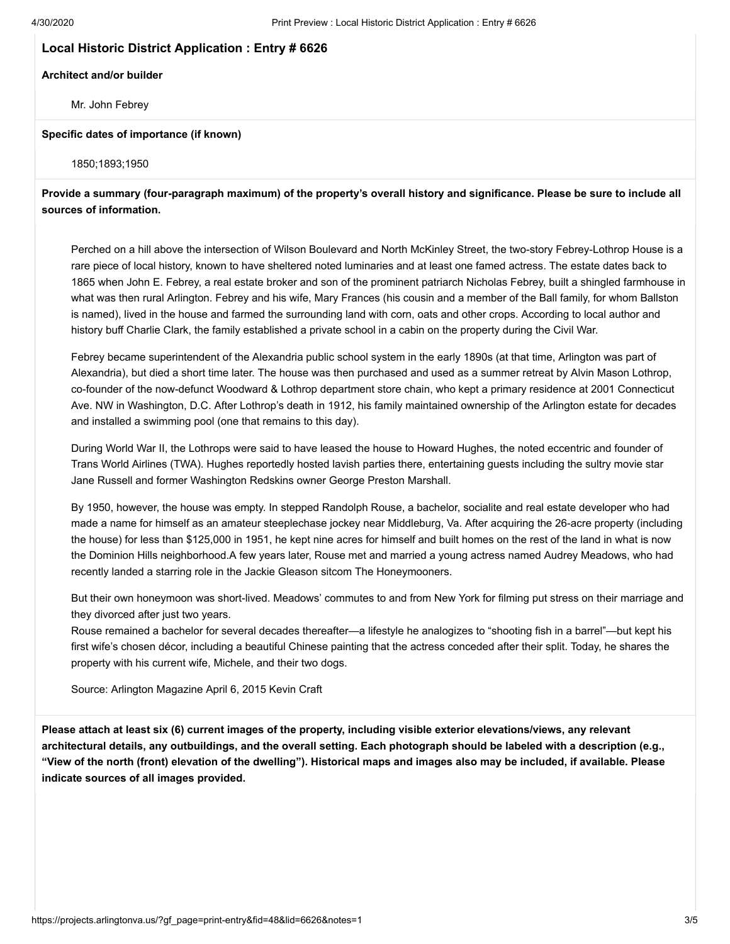# **Local Historic District Application : Entry # 6626**

### **Architect and/or builder**

Mr. John Febrey

## **Specific dates of importance (if known)**

1850;1893;1950

**Provide a summary (four-paragraph maximum) of the property's overall history and significance. Please be sure to include all sources of information.**

Perched on a hill above the intersection of Wilson Boulevard and North McKinley Street, the two-story Febrey-Lothrop House is a rare piece of local history, known to have sheltered noted luminaries and at least one famed actress. The estate dates back to 1865 when John E. Febrey, a real estate broker and son of the prominent patriarch Nicholas Febrey, built a shingled farmhouse in what was then rural Arlington. Febrey and his wife, Mary Frances (his cousin and a member of the Ball family, for whom Ballston is named), lived in the house and farmed the surrounding land with corn, oats and other crops. According to local author and history buff Charlie Clark, the family established a private school in a cabin on the property during the Civil War.

Febrey became superintendent of the Alexandria public school system in the early 1890s (at that time, Arlington was part of Alexandria), but died a short time later. The house was then purchased and used as a summer retreat by Alvin Mason Lothrop, co-founder of the now-defunct Woodward & Lothrop department store chain, who kept a primary residence at 2001 Connecticut Ave. NW in Washington, D.C. After Lothrop's death in 1912, his family maintained ownership of the Arlington estate for decades and installed a swimming pool (one that remains to this day).

During World War II, the Lothrops were said to have leased the house to Howard Hughes, the noted eccentric and founder of Trans World Airlines (TWA). Hughes reportedly hosted lavish parties there, entertaining guests including the sultry movie star Jane Russell and former Washington Redskins owner George Preston Marshall.

By 1950, however, the house was empty. In stepped Randolph Rouse, a bachelor, socialite and real estate developer who had made a name for himself as an amateur steeplechase jockey near Middleburg, Va. After acquiring the 26-acre property (including the house) for less than \$125,000 in 1951, he kept nine acres for himself and built homes on the rest of the land in what is now the Dominion Hills neighborhood.A few years later, Rouse met and married a young actress named Audrey Meadows, who had recently landed a starring role in the Jackie Gleason sitcom The Honeymooners.

But their own honeymoon was short-lived. Meadows' commutes to and from New York for filming put stress on their marriage and they divorced after just two years.

Rouse remained a bachelor for several decades thereafter—a lifestyle he analogizes to "shooting fish in a barrel"—but kept his first wife's chosen décor, including a beautiful Chinese painting that the actress conceded after their split. Today, he shares the property with his current wife, Michele, and their two dogs.

Source: Arlington Magazine April 6, 2015 Kevin Craft

**Please attach at least six (6) current images of the property, including visible exterior elevations/views, any relevant architectural details, any outbuildings, and the overall setting. Each photograph should be labeled with a description (e.g., "View of the north (front) elevation of the dwelling"). Historical maps and images also may be included, if available. Please indicate sources of all images provided.**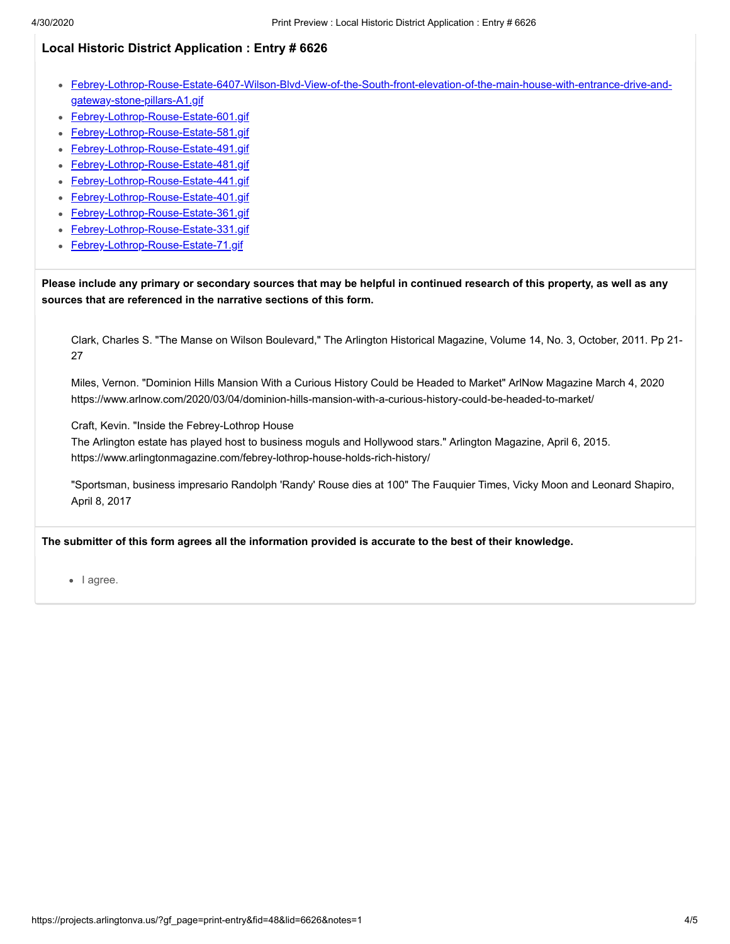# **Local Historic District Application : Entry # 6626**

- [Febrey-Lothrop-Rouse-Estate-6407-Wilson-Blvd-View-of-the-South-front-elevation-of-the-main-house-with-entrance-drive-and](https://projects.arlingtonva.us/index.php?gf-download=2020%2F04%2FFebrey-Lothrop-Rouse-Estate-6407-Wilson-Blvd-View-of-the-South-front-elevation-of-the-main-house-with-entrance-drive-and-gateway-stone-pillars-A1.gif&form-id=48&field-id=32&hash=7ff26579d2f2bd6a9d9ca278d3d21305932c7425af40abacd78328081919373a)gateway-stone-pillars-A1.gif
- [Febrey-Lothrop-Rouse-Estate-601.gif](https://projects.arlingtonva.us/index.php?gf-download=2020%2F04%2FFebrey-Lothrop-Rouse-Estate-601.gif&form-id=48&field-id=32&hash=a5fec151610d07ac3c3b10b0faa3420ee13f6b5123c88ba535be386e8af8ea91)
- [Febrey-Lothrop-Rouse-Estate-581.gif](https://projects.arlingtonva.us/index.php?gf-download=2020%2F04%2FFebrey-Lothrop-Rouse-Estate-581.gif&form-id=48&field-id=32&hash=74e5dcc058a0800551c72fa55ab733e470f5965ec97411baf15c2998c47a0a61)  $\bullet$
- [Febrey-Lothrop-Rouse-Estate-491.gif](https://projects.arlingtonva.us/index.php?gf-download=2020%2F04%2FFebrey-Lothrop-Rouse-Estate-491.gif&form-id=48&field-id=32&hash=a2af47d40a1728c83b9b68416d20b5548743fd27f664e6d229410ab0c9608f8d)
- [Febrey-Lothrop-Rouse-Estate-481.gif](https://projects.arlingtonva.us/index.php?gf-download=2020%2F04%2FFebrey-Lothrop-Rouse-Estate-481.gif&form-id=48&field-id=32&hash=0c2b565980864850ef26e9b9cd45a5b1559d576e302be3fd5ad802000c894094)
- [Febrey-Lothrop-Rouse-Estate-441.gif](https://projects.arlingtonva.us/index.php?gf-download=2020%2F04%2FFebrey-Lothrop-Rouse-Estate-441.gif&form-id=48&field-id=32&hash=79be0ae4279524de4a207d91545f37bf243c80c822c86a0fa21016ddc7bd0e7e)
- [Febrey-Lothrop-Rouse-Estate-401.gif](https://projects.arlingtonva.us/index.php?gf-download=2020%2F04%2FFebrey-Lothrop-Rouse-Estate-401.gif&form-id=48&field-id=32&hash=6719eebd6fa560754132f2d336464cf5e2a7d81268f2a31a2280fab13acf9099)
- [Febrey-Lothrop-Rouse-Estate-361.gif](https://projects.arlingtonva.us/index.php?gf-download=2020%2F04%2FFebrey-Lothrop-Rouse-Estate-361.gif&form-id=48&field-id=32&hash=570542c651731c36c36b8690bde333e13c2bc5a0f35761a6627d1142ff71716b)
- [Febrey-Lothrop-Rouse-Estate-331.gif](https://projects.arlingtonva.us/index.php?gf-download=2020%2F04%2FFebrey-Lothrop-Rouse-Estate-331.gif&form-id=48&field-id=32&hash=c35c07cc0617ce0ae8c9ef2994ef517a1083711fdba2aa341a82a0877092b799)
- [Febrey-Lothrop-Rouse-Estate-71.gif](https://projects.arlingtonva.us/index.php?gf-download=2020%2F04%2FFebrey-Lothrop-Rouse-Estate-71.gif&form-id=48&field-id=32&hash=2717fe23f9a91ed3ecece8fb3ce15fad8a2cc028d2d51ead963f6c279edd0d4e)

**Please include any primary or secondary sources that may be helpful in continued research of this property, as well as any sources that are referenced in the narrative sections of this form.**

Clark, Charles S. "The Manse on Wilson Boulevard," The Arlington Historical Magazine, Volume 14, No. 3, October, 2011. Pp 21- 27

Miles, Vernon. "Dominion Hills Mansion With a Curious History Could be Headed to Market" ArlNow Magazine March 4, 2020 https://www.arlnow.com/2020/03/04/dominion-hills-mansion-with-a-curious-history-could-be-headed-to-market/

Craft, Kevin. "Inside the Febrey-Lothrop House

The Arlington estate has played host to business moguls and Hollywood stars." Arlington Magazine, April 6, 2015. https://www.arlingtonmagazine.com/febrey-lothrop-house-holds-rich-history/

"Sportsman, business impresario Randolph 'Randy' Rouse dies at 100" The Fauquier Times, Vicky Moon and Leonard Shapiro, April 8, 2017

**The submitter of this form agrees all the information provided is accurate to the best of their knowledge.**

• lagree.